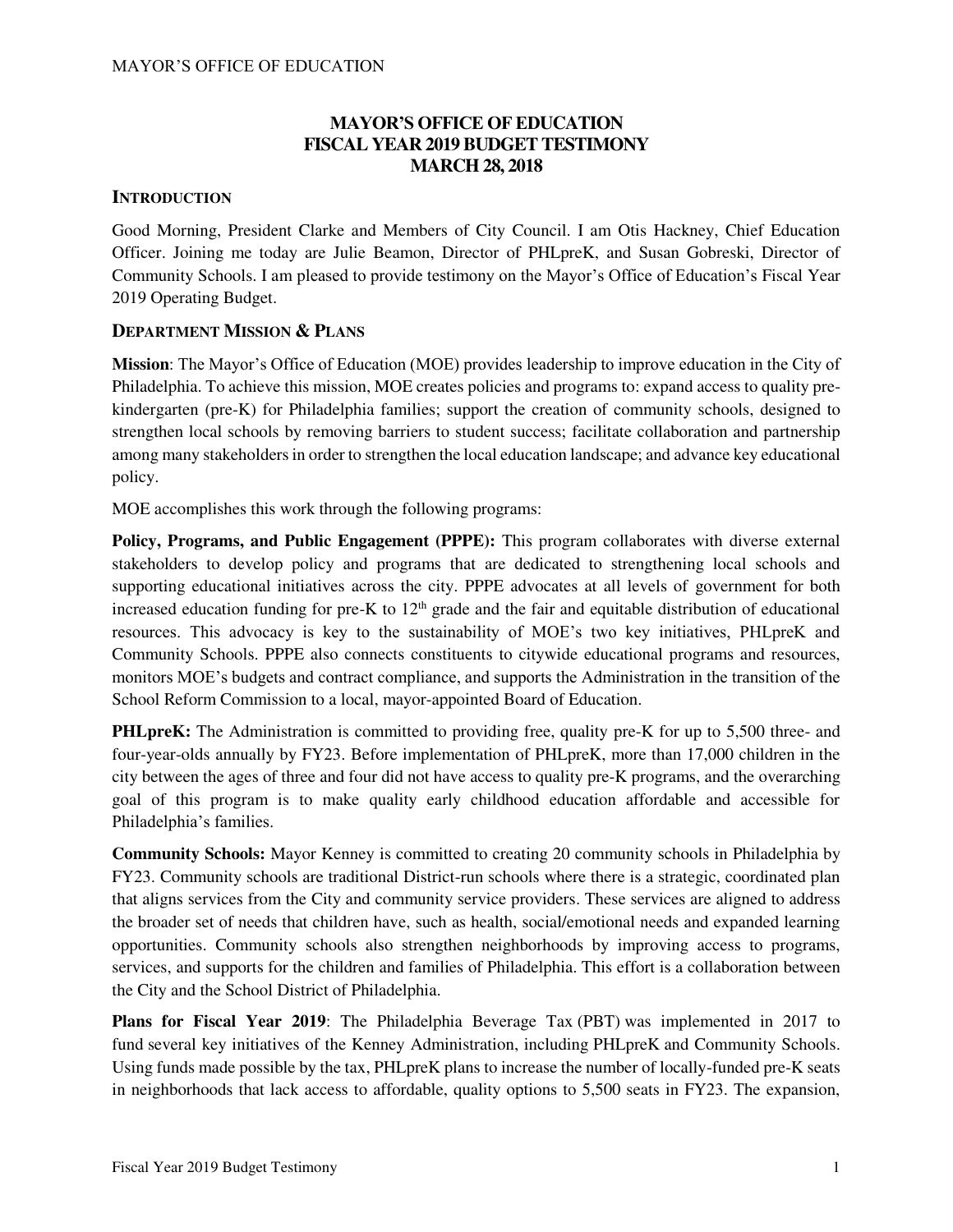# **MAYOR'S OFFICE OF EDUCATION FISCAL YEAR 2019 BUDGET TESTIMONY MARCH 28, 2018**

## **INTRODUCTION**

Good Morning, President Clarke and Members of City Council. I am Otis Hackney, Chief Education Officer. Joining me today are Julie Beamon, Director of PHLpreK, and Susan Gobreski, Director of Community Schools. I am pleased to provide testimony on the Mayor's Office of Education's Fiscal Year 2019 Operating Budget.

## **DEPARTMENT MISSION & PLANS**

**Mission**: The Mayor's Office of Education (MOE) provides leadership to improve education in the City of Philadelphia. To achieve this mission, MOE creates policies and programs to: expand access to quality prekindergarten (pre-K) for Philadelphia families; support the creation of [community schools,](https://beta.phila.gov/departments/mayors-office-of-education/community-schools/) designed to strengthen local schools by removing barriers to student success; facilitate collaboration and partnership among many stakeholders in order to strengthen the local education landscape; and advance key educational policy.

MOE accomplishes this work through the following programs:

**Policy, Programs, and Public Engagement (PPPE):** This program collaborates with diverse external stakeholders to develop policy and programs that are dedicated to strengthening local schools and supporting educational initiatives across the city. PPPE advocates at all levels of government for both increased education funding for pre-K to  $12<sup>th</sup>$  grade and the fair and equitable distribution of educational resources. This advocacy is key to the sustainability of MOE's two key initiatives, PHLpreK and Community Schools. PPPE also connects constituents to citywide educational programs and resources, monitors MOE's budgets and contract compliance, and supports the Administration in the transition of the School Reform Commission to a local, mayor-appointed Board of Education.

**PHLpreK:** The Administration is committed to providing free, quality pre-K for up to 5,500 three- and four-year-olds annually by FY23. Before implementation of PHLpreK, more than 17,000 children in the city between the ages of three and four did not have access to quality pre-K programs, and the overarching goal of this program is to make quality early childhood education affordable and accessible for Philadelphia's families.

**Community Schools:** Mayor Kenney is committed to creating 20 community schools in Philadelphia by FY23. Community schools are traditional District-run schools where there is a strategic, coordinated plan that aligns services from the City and community service providers. These services are aligned to address the broader set of needs that children have, such as health, social/emotional needs and expanded learning opportunities. Community schools also strengthen neighborhoods by improving access to programs, services, and supports for the children and families of Philadelphia. This effort is a collaboration between the City and the School District of Philadelphia.

**Plans for Fiscal Year 2019**: The Philadelphia Beverage Tax (PBT) was implemented in 2017 to fund several key initiatives of the Kenney Administration, including PHLpreK and Community Schools. Using funds made possible by the tax, PHLpreK plans to increase the number of locally-funded pre-K seats in neighborhoods that lack access to affordable, quality options to 5,500 seats in FY23. The expansion,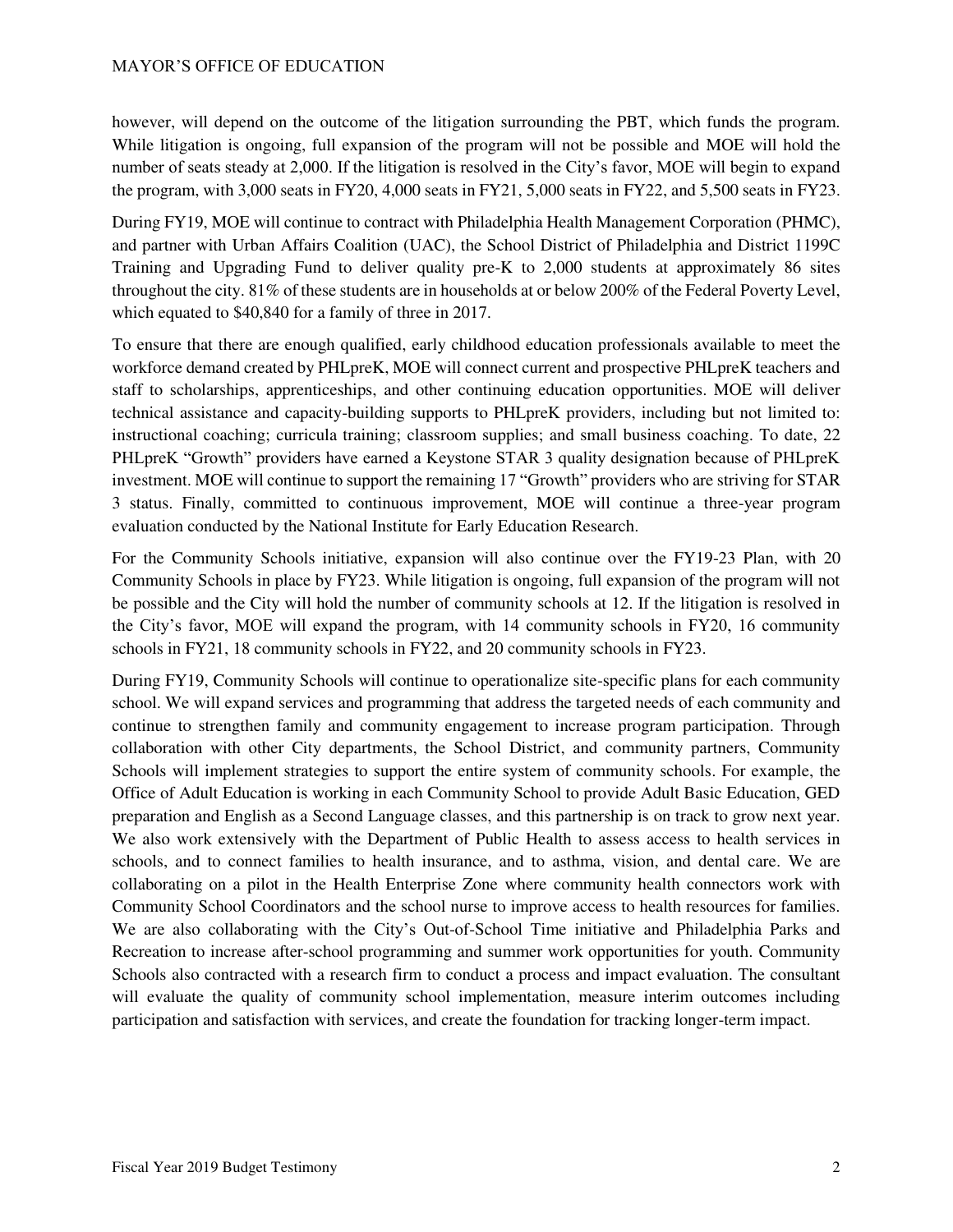however, will depend on the outcome of the litigation surrounding the PBT, which funds the program. While litigation is ongoing, full expansion of the program will not be possible and MOE will hold the number of seats steady at 2,000. If the litigation is resolved in the City's favor, MOE will begin to expand the program, with 3,000 seats in FY20, 4,000 seats in FY21, 5,000 seats in FY22, and 5,500 seats in FY23.

During FY19, MOE will continue to contract with Philadelphia Health Management Corporation (PHMC), and partner with Urban Affairs Coalition (UAC), the School District of Philadelphia and District 1199C Training and Upgrading Fund to deliver quality pre-K to 2,000 students at approximately 86 sites throughout the city. 81% of these students are in households at or below 200% of the Federal Poverty Level, which equated to \$40,840 for a family of three in 2017.

To ensure that there are enough qualified, early childhood education professionals available to meet the workforce demand created by PHLpreK, MOE will connect current and prospective PHLpreK teachers and staff to scholarships, apprenticeships, and other continuing education opportunities. MOE will deliver technical assistance and capacity-building supports to PHLpreK providers, including but not limited to: instructional coaching; curricula training; classroom supplies; and small business coaching. To date, 22 PHLpreK "Growth" providers have earned a Keystone STAR 3 quality designation because of PHLpreK investment. MOE will continue to support the remaining 17 "Growth" providers who are striving for STAR 3 status. Finally, committed to continuous improvement, MOE will continue a three-year program evaluation conducted by the National Institute for Early Education Research.

For the Community Schools initiative, expansion will also continue over the FY19-23 Plan, with 20 Community Schools in place by FY23. While litigation is ongoing, full expansion of the program will not be possible and the City will hold the number of community schools at 12. If the litigation is resolved in the City's favor, MOE will expand the program, with 14 community schools in FY20, 16 community schools in FY21, 18 community schools in FY22, and 20 community schools in FY23.

During FY19, Community Schools will continue to operationalize site-specific plans for each community school. We will expand services and programming that address the targeted needs of each community and continue to strengthen family and community engagement to increase program participation. Through collaboration with other City departments, the School District, and community partners, Community Schools will implement strategies to support the entire system of community schools. For example, the Office of Adult Education is working in each Community School to provide Adult Basic Education, GED preparation and English as a Second Language classes, and this partnership is on track to grow next year. We also work extensively with the Department of Public Health to assess access to health services in schools, and to connect families to health insurance, and to asthma, vision, and dental care. We are collaborating on a pilot in the Health Enterprise Zone where community health connectors work with Community School Coordinators and the school nurse to improve access to health resources for families. We are also collaborating with the City's Out-of-School Time initiative and Philadelphia Parks and Recreation to increase after-school programming and summer work opportunities for youth. Community Schools also contracted with a research firm to conduct a process and impact evaluation. The consultant will evaluate the quality of community school implementation, measure interim outcomes including participation and satisfaction with services, and create the foundation for tracking longer-term impact.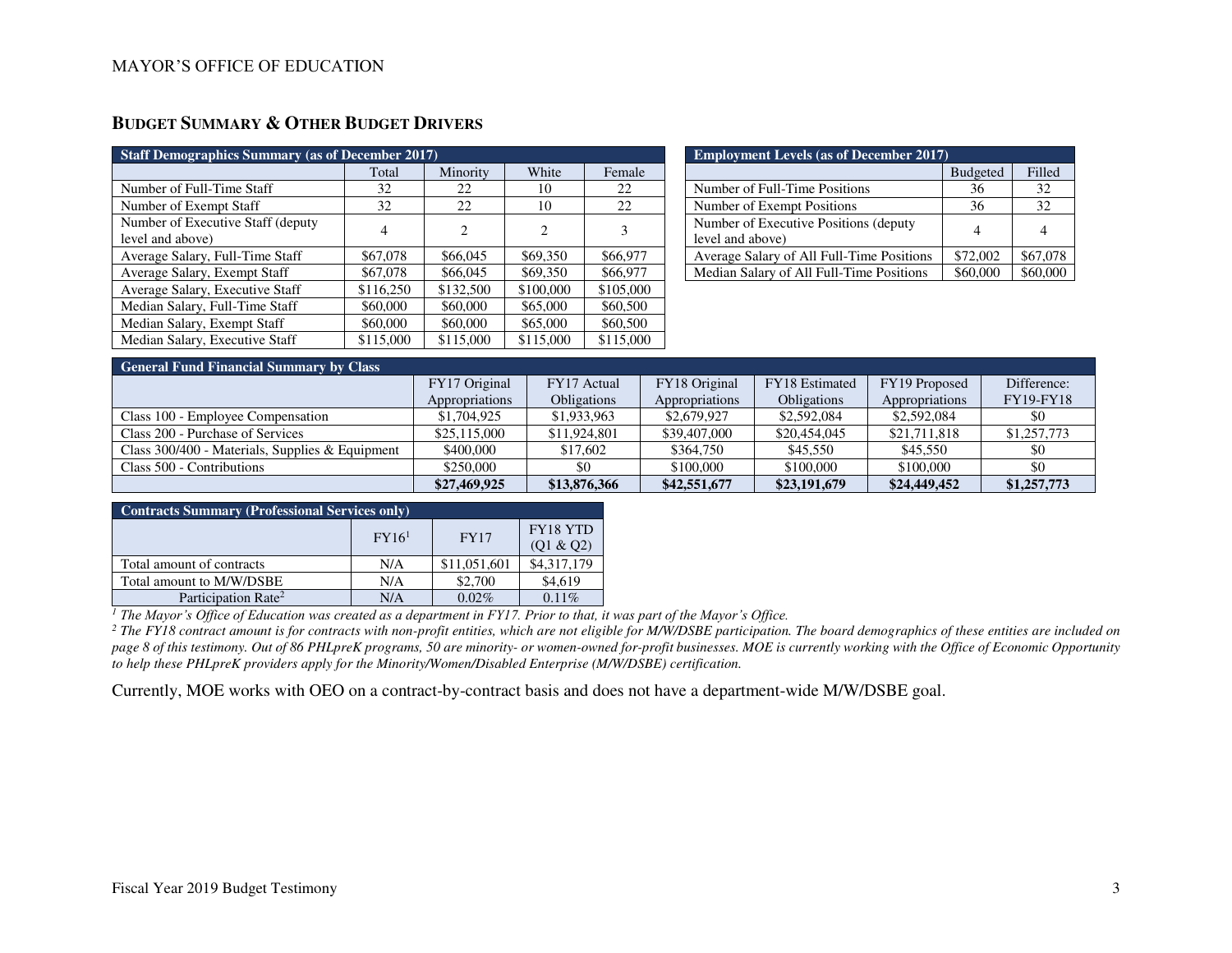# **BUDGET SUMMARY & OTHER BUDGET DRIVERS**

| <b>Staff Demographics Summary (as of December 2017)</b> |           |                             |           |           |  |  |
|---------------------------------------------------------|-----------|-----------------------------|-----------|-----------|--|--|
|                                                         | Total     | Minority                    | White     | Female    |  |  |
| Number of Full-Time Staff                               | 32        | 22                          | 10        | 22        |  |  |
| Number of Exempt Staff                                  | 32        | 22                          | 10        | 22        |  |  |
| Number of Executive Staff (deputy<br>level and above)   | 4         | $\mathcal{D}_{\mathcal{L}}$ | 2         | 3         |  |  |
| Average Salary, Full-Time Staff                         | \$67,078  | \$66,045                    | \$69,350  | \$66,977  |  |  |
| Average Salary, Exempt Staff                            | \$67,078  | \$66,045                    | \$69,350  | \$66,977  |  |  |
| Average Salary, Executive Staff                         | \$116,250 | \$132,500                   | \$100,000 | \$105,000 |  |  |
| Median Salary, Full-Time Staff                          | \$60,000  | \$60,000                    | \$65,000  | \$60,500  |  |  |
| Median Salary, Exempt Staff                             | \$60,000  | \$60,000                    | \$65,000  | \$60,500  |  |  |
| Median Salary, Executive Staff                          | \$115,000 | \$115,000                   | \$115,000 | \$115,000 |  |  |

| <b>Employment Levels (as of December 2017)</b> |                 |          |  |  |  |
|------------------------------------------------|-----------------|----------|--|--|--|
|                                                | <b>Budgeted</b> | Filled   |  |  |  |
| Number of Full-Time Positions                  | 36              | 32       |  |  |  |
| Number of Exempt Positions                     | 36              | 32       |  |  |  |
| Number of Executive Positions (deputy          |                 |          |  |  |  |
| level and above)                               |                 |          |  |  |  |
| Average Salary of All Full-Time Positions      | \$72,002        | \$67,078 |  |  |  |
| Median Salary of All Full-Time Positions       | \$60,000        |          |  |  |  |

| <b>General Fund Financial Summary by Class</b>    |                |                    |                |                    |                |                  |  |  |
|---------------------------------------------------|----------------|--------------------|----------------|--------------------|----------------|------------------|--|--|
|                                                   | FY17 Original  | FY17 Actual        | FY18 Original  | FY18 Estimated     | FY19 Proposed  | Difference:      |  |  |
|                                                   | Appropriations | <b>Obligations</b> | Appropriations | <b>Obligations</b> | Appropriations | <b>FY19-FY18</b> |  |  |
| Class 100 - Employee Compensation                 | \$1,704,925    | \$1,933,963        | \$2,679,927    | \$2,592,084        | \$2,592,084    | \$0              |  |  |
| Class 200 - Purchase of Services                  | \$25,115,000   | \$11,924,801       | \$39,407,000   | \$20,454,045       | \$21,711,818   | \$1,257,773      |  |  |
| Class $300/400$ - Materials, Supplies & Equipment | \$400,000      | \$17,602           | \$364,750      | \$45,550           | \$45,550       | \$0              |  |  |
| Class 500 - Contributions                         | \$250,000      | \$0                | \$100,000      | \$100,000          | \$100,000      | \$0              |  |  |
|                                                   | \$27,469,925   | \$13,876,366       | \$42,551,677   | \$23,191,679       | \$24,449,452   | \$1,257,773      |  |  |

| <b>Contracts Summary (Professional Services only)</b> |                       |              |             |  |  |  |
|-------------------------------------------------------|-----------------------|--------------|-------------|--|--|--|
|                                                       | FY18 YTD<br>(Q1 & Q2) |              |             |  |  |  |
| Total amount of contracts                             | N/A                   | \$11,051,601 | \$4,317,179 |  |  |  |
| Total amount to M/W/DSBE                              | N/A                   | \$2,700      | \$4,619     |  |  |  |
| Participation Rate <sup>2</sup>                       | N/A                   | $0.02\%$     | $0.11\%$    |  |  |  |

*<sup>1</sup> The Mayor's Office of Education was created as a department in FY17. Prior to that, it was part of the Mayor's Office.*

<sup>2</sup> The FY18 contract amount is for contracts with non-profit entities, which are not eligible for M/W/DSBE participation. The board demographics of these entities are included on *page 8 of this testimony. Out of 86 PHLpreK programs, 50 are minority- or women-owned for-profit businesses. MOE is currently working with the Office of Economic Opportunity to help these PHLpreK providers apply for the Minority/Women/Disabled Enterprise (M/W/DSBE) certification.* 

Currently, MOE works with OEO on a contract-by-contract basis and does not have a department-wide M/W/DSBE goal.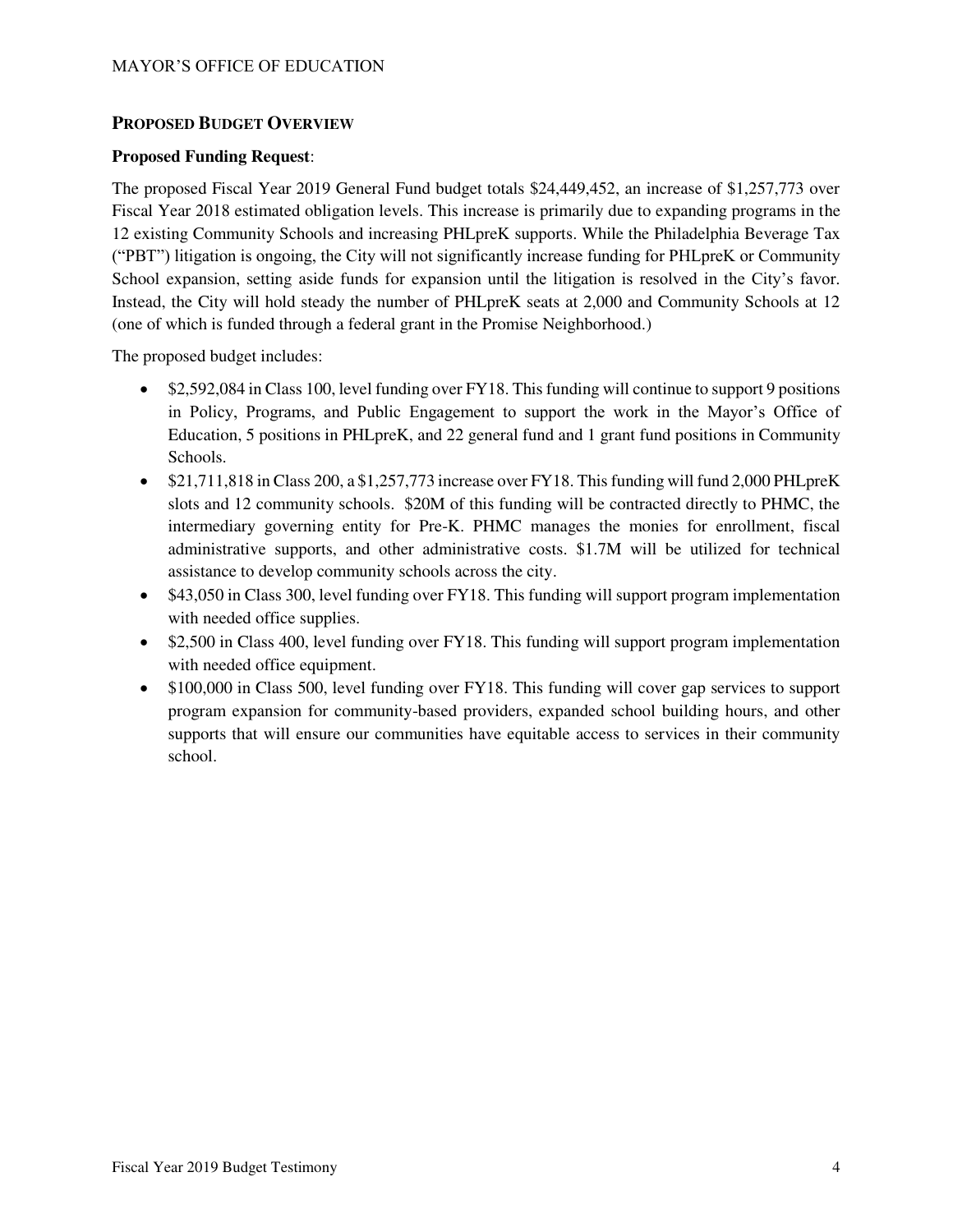## **PROPOSED BUDGET OVERVIEW**

### **Proposed Funding Request**:

The proposed Fiscal Year 2019 General Fund budget totals \$24,449,452, an increase of \$1,257,773 over Fiscal Year 2018 estimated obligation levels. This increase is primarily due to expanding programs in the 12 existing Community Schools and increasing PHLpreK supports. While the Philadelphia Beverage Tax ("PBT") litigation is ongoing, the City will not significantly increase funding for PHLpreK or Community School expansion, setting aside funds for expansion until the litigation is resolved in the City's favor. Instead, the City will hold steady the number of PHLpreK seats at 2,000 and Community Schools at 12 (one of which is funded through a federal grant in the Promise Neighborhood.)

The proposed budget includes:

- \$2,592,084 in Class 100, level funding over FY18. This funding will continue to support 9 positions in Policy, Programs, and Public Engagement to support the work in the Mayor's Office of Education, 5 positions in PHLpreK, and 22 general fund and 1 grant fund positions in Community Schools.
- \$21,711,818 in Class 200, a \$1,257,773 increase over FY18. This funding will fund 2,000 PHL preK slots and 12 community schools. \$20M of this funding will be contracted directly to PHMC, the intermediary governing entity for Pre-K. PHMC manages the monies for enrollment, fiscal administrative supports, and other administrative costs. \$1.7M will be utilized for technical assistance to develop community schools across the city.
- \$43,050 in Class 300, level funding over FY18. This funding will support program implementation with needed office supplies.
- \$2,500 in Class 400, level funding over FY18. This funding will support program implementation with needed office equipment.
- \$100,000 in Class 500, level funding over FY18. This funding will cover gap services to support program expansion for community-based providers, expanded school building hours, and other supports that will ensure our communities have equitable access to services in their community school.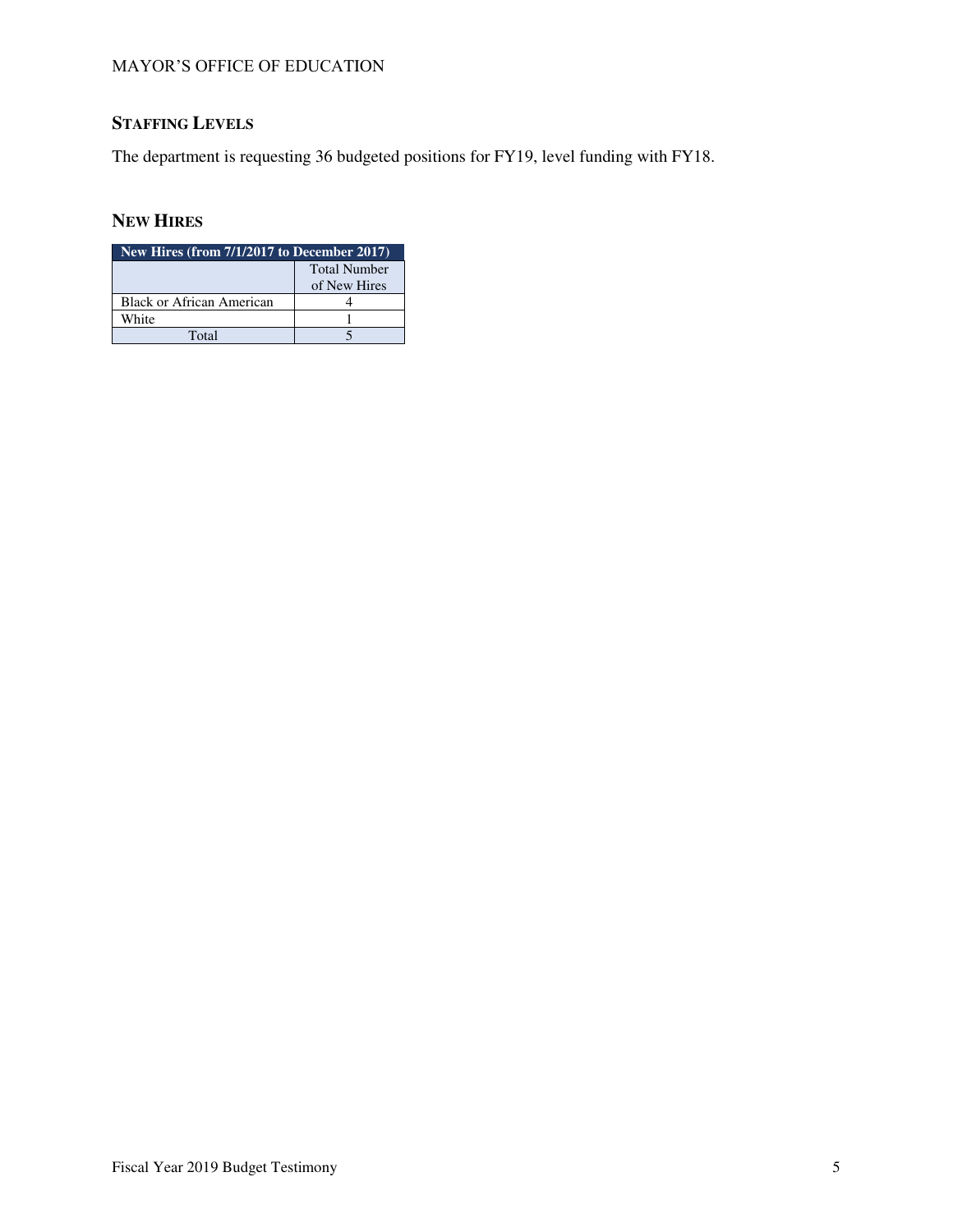# **STAFFING LEVELS**

The department is requesting 36 budgeted positions for FY19, level funding with FY18.

## **NEW HIRES**

| New Hires (from 7/1/2017 to December 2017) |              |  |  |  |
|--------------------------------------------|--------------|--|--|--|
| <b>Total Number</b>                        |              |  |  |  |
|                                            | of New Hires |  |  |  |
| Black or African American                  |              |  |  |  |
| White                                      |              |  |  |  |
| Total                                      |              |  |  |  |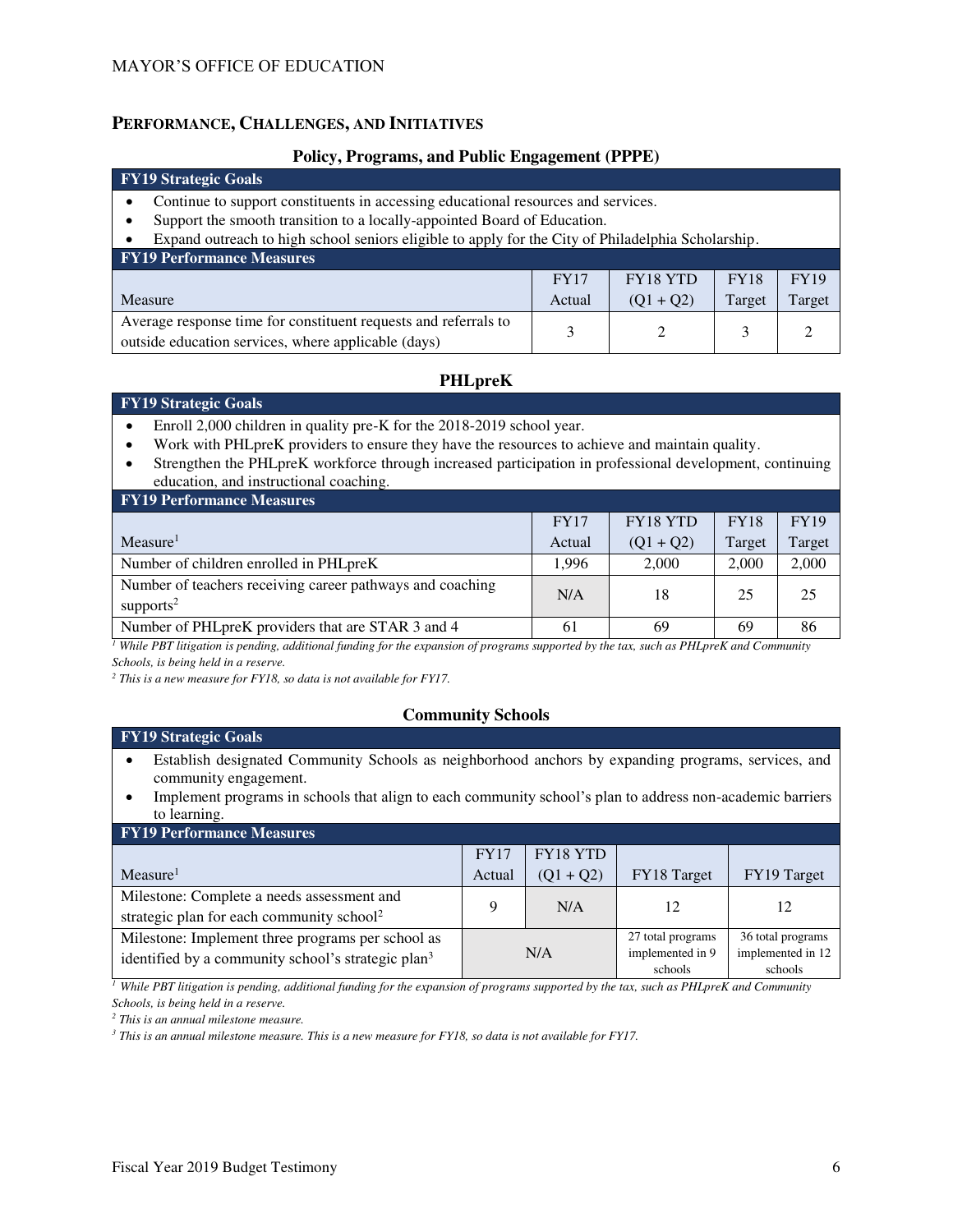## **PERFORMANCE, CHALLENGES, AND INITIATIVES**

#### **Policy, Programs, and Public Engagement (PPPE)**

#### **FY19 Strategic Goals**

- Continue to support constituents in accessing educational resources and services.
- Support the smooth transition to a locally-appointed Board of Education.
- Expand outreach to high school seniors eligible to apply for the City of Philadelphia Scholarship.

| <b>FY19 Performance Measures</b>                                |             |                 |             |             |  |  |
|-----------------------------------------------------------------|-------------|-----------------|-------------|-------------|--|--|
|                                                                 | <b>FY17</b> | <b>FY18 YTD</b> | <b>FY18</b> | <b>FY19</b> |  |  |
| Measure                                                         | Actual      | $(01 + 02)$     | Target      | Target      |  |  |
| Average response time for constituent requests and referrals to |             |                 |             |             |  |  |
| outside education services, where applicable (days)             |             |                 |             |             |  |  |

# **PHLpreK**

## **FY19 Strategic Goals**

- Enroll 2,000 children in quality pre-K for the 2018-2019 school year.
- Work with PHLpreK providers to ensure they have the resources to achieve and maintain quality.
- Strengthen the PHLpreK workforce through increased participation in professional development, continuing education, and instructional coaching.

| <b>FY19 Performance Measures</b>                                                   |             |                 |             |             |
|------------------------------------------------------------------------------------|-------------|-----------------|-------------|-------------|
|                                                                                    | <b>FY17</b> | <b>FY18 YTD</b> | <b>FY18</b> | <b>FY19</b> |
| Measure <sup>1</sup>                                                               | Actual      | $(Q1 + Q2)$     | Target      | Target      |
| Number of children enrolled in PHLpreK                                             | 1.996       | 2.000           | 2,000       | 2,000       |
| Number of teachers receiving career pathways and coaching<br>supports <sup>2</sup> | N/A         | 18              | 25          | 25          |
| Number of PHLpreK providers that are STAR 3 and 4                                  | 61          | 69              | 69          | 86          |

*1 While PBT litigation is pending, additional funding for the expansion of programs supported by the tax, such as PHLpreK and Community Schools, is being held in a reserve.* 

*2 This is a new measure for FY18, so data is not available for FY17.*

## **Community Schools**

#### **FY19 Strategic Goals**

- Establish designated Community Schools as neighborhood anchors by expanding programs, services, and community engagement.
- Implement programs in schools that align to each community school's plan to address non-academic barriers to learning.

| <b>FY19 Performance Measures</b>                               |             |             |                   |                   |  |  |
|----------------------------------------------------------------|-------------|-------------|-------------------|-------------------|--|--|
|                                                                | <b>FY17</b> | FY18 YTD    |                   |                   |  |  |
| Measure <sup>1</sup>                                           | Actual      | $(Q1 + Q2)$ | FY18 Target       | FY19 Target       |  |  |
| Milestone: Complete a needs assessment and                     |             | N/A         | 12                |                   |  |  |
| strategic plan for each community school <sup>2</sup>          |             |             |                   |                   |  |  |
| Milestone: Implement three programs per school as              |             |             | 27 total programs | 36 total programs |  |  |
| identified by a community school's strategic plan <sup>3</sup> |             | N/A         | implemented in 9  | implemented in 12 |  |  |
|                                                                |             |             | schools           | schools           |  |  |

*<sup>1</sup> While PBT litigation is pending, additional funding for the expansion of programs supported by the tax, such as PHLpreK and Community Schools, is being held in a reserve.*

*2 This is an annual milestone measure.*

*3 This is an annual milestone measure. This is a new measure for FY18, so data is not available for FY17.*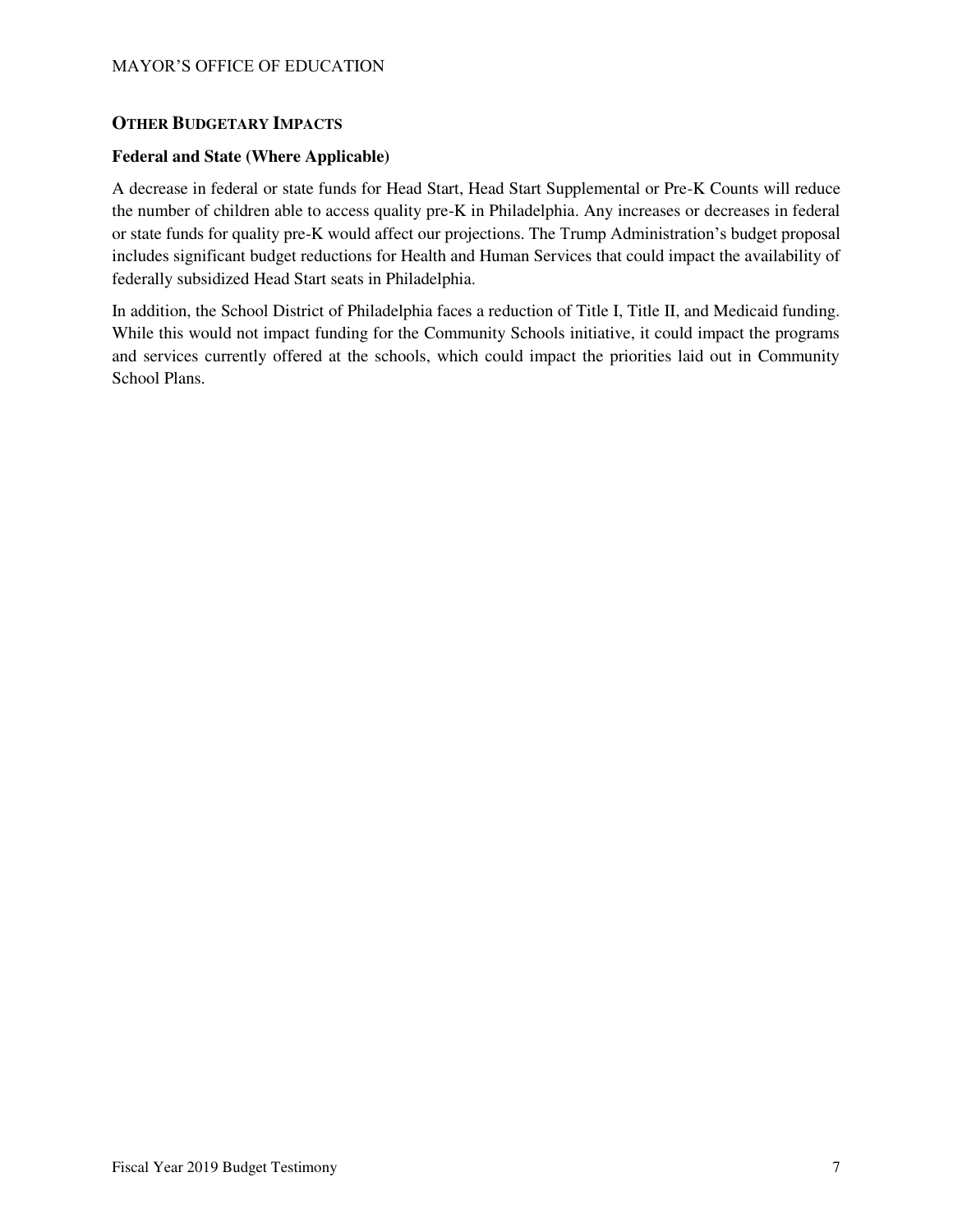## **OTHER BUDGETARY IMPACTS**

## **Federal and State (Where Applicable)**

A decrease in federal or state funds for Head Start, Head Start Supplemental or Pre-K Counts will reduce the number of children able to access quality pre-K in Philadelphia. Any increases or decreases in federal or state funds for quality pre-K would affect our projections. The Trump Administration's budget proposal includes significant budget reductions for Health and Human Services that could impact the availability of federally subsidized Head Start seats in Philadelphia.

In addition, the School District of Philadelphia faces a reduction of Title I, Title II, and Medicaid funding. While this would not impact funding for the Community Schools initiative, it could impact the programs and services currently offered at the schools, which could impact the priorities laid out in Community School Plans.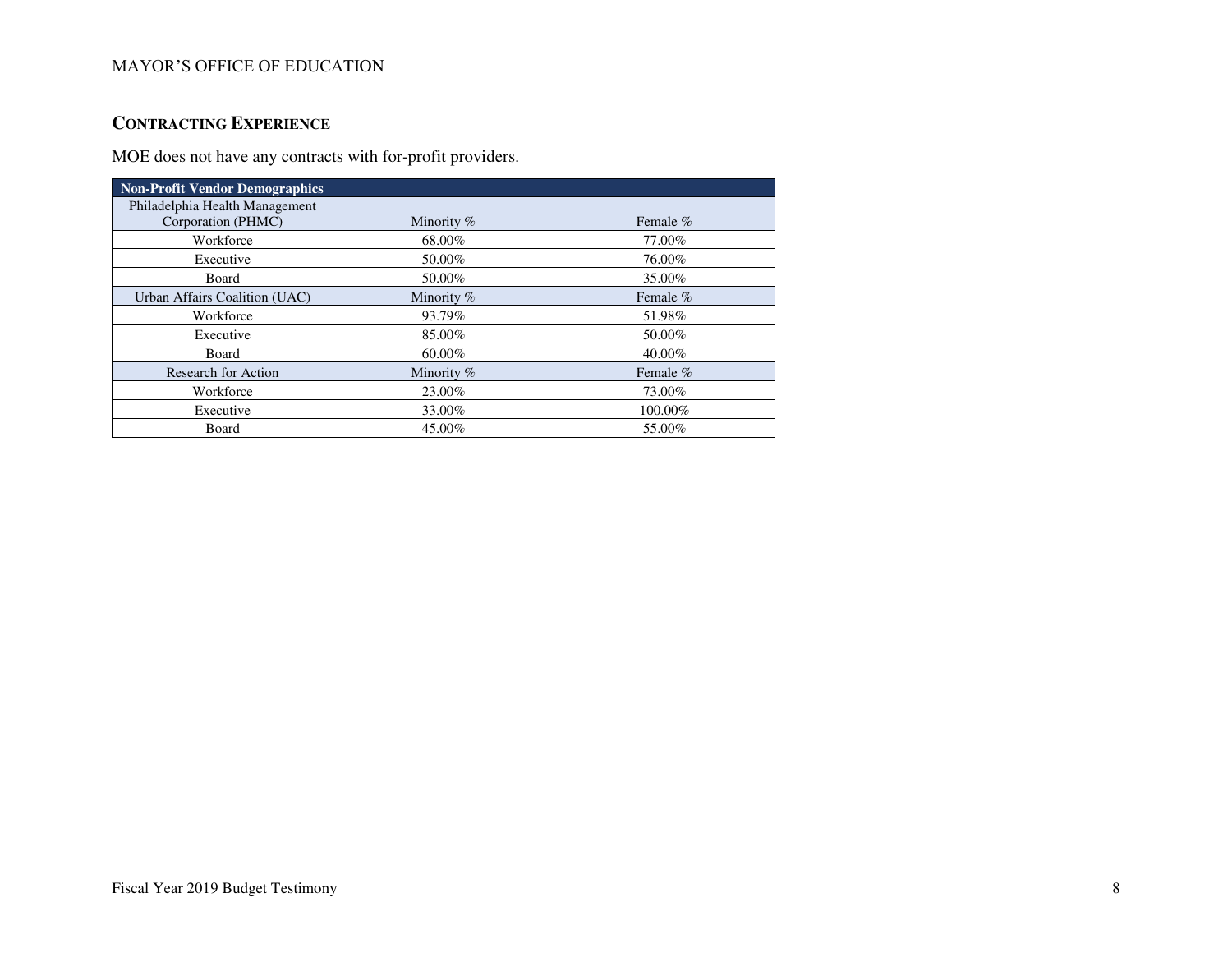# **CONTRACTING EXPERIENCE**

MOE does not have any contracts with for-profit providers.

| <b>Non-Profit Vendor Demographics</b> |              |            |
|---------------------------------------|--------------|------------|
| Philadelphia Health Management        |              |            |
| Corporation (PHMC)                    | Minority $%$ | Female $%$ |
| Workforce                             | 68.00%       | 77.00%     |
| Executive                             | 50.00%       | 76.00%     |
| Board                                 | 50.00%       | 35.00%     |
| Urban Affairs Coalition (UAC)         | Minority %   | Female %   |
| Workforce                             | 93.79%       | 51.98%     |
| Executive                             | 85.00%       | 50.00%     |
| Board                                 | 60.00%       | 40.00%     |
| Research for Action                   | Minority %   | Female %   |
| Workforce                             | 23.00%       | 73.00%     |
| Executive                             | 33.00%       | 100.00%    |
| Board                                 | 45.00%       | 55.00%     |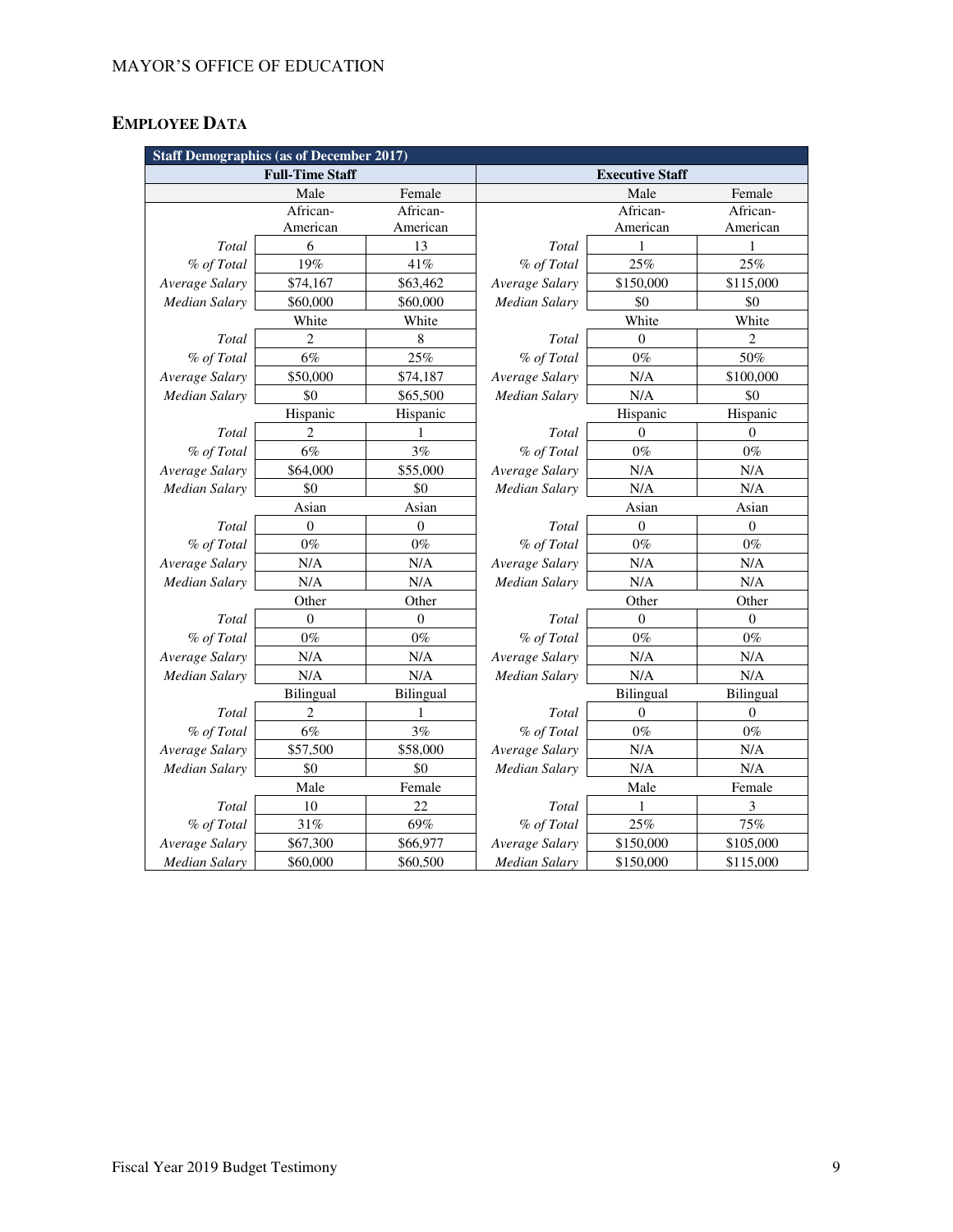# **EMPLOYEE DATA**

| <b>Staff Demographics (as of December 2017)</b> |                                                  |                  |                      |           |                  |
|-------------------------------------------------|--------------------------------------------------|------------------|----------------------|-----------|------------------|
|                                                 | <b>Full-Time Staff</b><br><b>Executive Staff</b> |                  |                      |           |                  |
|                                                 | Male                                             | Female           |                      | Male      | Female           |
|                                                 | African-                                         | African-         |                      | African-  | African-         |
|                                                 | American                                         | American         |                      | American  | American         |
| Total                                           | 6                                                | 13               | Total                | 1         | 1                |
| % of Total                                      | 19%                                              | 41%              | % of Total           | 25%       | 25%              |
| Average Salary                                  | \$74,167                                         | \$63,462         | Average Salary       | \$150,000 | \$115,000        |
| <b>Median Salary</b>                            | \$60,000                                         | \$60,000         | Median Salary        | \$0       | \$0              |
|                                                 | White                                            | White            |                      | White     | White            |
| Total                                           | $\overline{c}$                                   | 8                | Total                | $\theta$  | $\overline{2}$   |
| % of Total                                      | 6%                                               | 25%              | % of Total           | $0\%$     | 50%              |
| Average Salary                                  | \$50,000                                         | \$74,187         | Average Salary       | N/A       | \$100,000        |
| Median Salary                                   | \$0                                              | \$65,500         | Median Salary        | N/A       | \$0              |
|                                                 | Hispanic                                         | Hispanic         |                      | Hispanic  | Hispanic         |
| Total                                           | $\overline{2}$                                   | 1                | Total                | $\Omega$  | $\mathbf{0}$     |
| % of Total                                      | $6\%$                                            | $3\%$            | % of Total           | $0\%$     | $0\%$            |
| Average Salary                                  | \$64,000                                         | \$55,000         | Average Salary       | N/A       | N/A              |
| <b>Median Salary</b>                            | \$0                                              | \$0              | Median Salary        | N/A       | N/A              |
|                                                 | Asian                                            | Asian            |                      | Asian     | Asian            |
| Total                                           | $\theta$                                         | $\overline{0}$   | Total                | $\theta$  | $\boldsymbol{0}$ |
| % of Total                                      | $0\%$                                            | $0\%$            | % of Total           | $0\%$     | $0\%$            |
| Average Salary                                  | N/A                                              | N/A              | Average Salary       | N/A       | N/A              |
| Median Salary                                   | N/A                                              | N/A              | Median Salary        | N/A       | N/A              |
|                                                 | Other                                            | Other            |                      | Other     | Other            |
| Total                                           | $\Omega$                                         | $\boldsymbol{0}$ | Total                | $\Omega$  | $\boldsymbol{0}$ |
| % of Total                                      | $0\%$                                            | $0\%$            | % of Total           | $0\%$     | $0\%$            |
| Average Salary                                  | N/A                                              | N/A              | Average Salary       | N/A       | N/A              |
| Median Salary                                   | N/A                                              | N/A              | <b>Median Salary</b> | N/A       | N/A              |
|                                                 | <b>Bilingual</b>                                 | <b>Bilingual</b> |                      | Bilingual | Bilingual        |
| Total                                           | 2                                                | 1                | Total                | $\theta$  | $\mathbf{0}$     |
| % of Total                                      | $6\%$                                            | 3%               | % of Total           | $0\%$     | $0\%$            |
| Average Salary                                  | \$57,500                                         | \$58,000         | Average Salary       | N/A       | N/A              |
| <b>Median Salary</b>                            | \$0                                              | \$0              | Median Salary        | N/A       | N/A              |
|                                                 | Male                                             | Female           |                      | Male      | Female           |
| Total                                           | 10                                               | 22               | Total                | 1         | 3                |
| % of Total                                      | 31%                                              | 69%              | % of Total           | 25%       | 75%              |
| Average Salary                                  | \$67,300                                         | \$66,977         | Average Salary       | \$150,000 | \$105,000        |
| <b>Median Salary</b>                            | \$60,000                                         | \$60,500         | <b>Median Salary</b> | \$150,000 | \$115,000        |